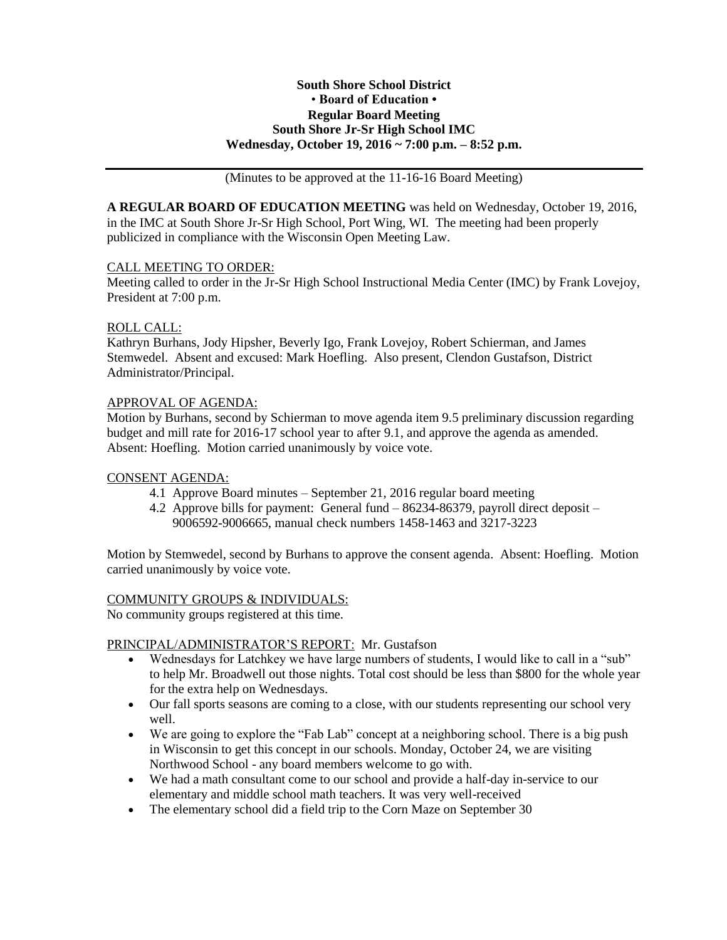## **South Shore School District** • **Board of Education • Regular Board Meeting South Shore Jr-Sr High School IMC Wednesday, October 19, 2016 ~ 7:00 p.m. – 8:52 p.m.**

(Minutes to be approved at the 11-16-16 Board Meeting)

**A REGULAR BOARD OF EDUCATION MEETING** was held on Wednesday, October 19, 2016, in the IMC at South Shore Jr-Sr High School, Port Wing, WI. The meeting had been properly publicized in compliance with the Wisconsin Open Meeting Law.

# CALL MEETING TO ORDER:

Meeting called to order in the Jr-Sr High School Instructional Media Center (IMC) by Frank Lovejoy, President at 7:00 p.m.

# ROLL CALL:

Kathryn Burhans, Jody Hipsher, Beverly Igo, Frank Lovejoy, Robert Schierman, and James Stemwedel. Absent and excused: Mark Hoefling. Also present, Clendon Gustafson, District Administrator/Principal.

# APPROVAL OF AGENDA:

Motion by Burhans, second by Schierman to move agenda item 9.5 preliminary discussion regarding budget and mill rate for 2016-17 school year to after 9.1, and approve the agenda as amended. Absent: Hoefling. Motion carried unanimously by voice vote.

## CONSENT AGENDA:

- 4.1 Approve Board minutes September 21, 2016 regular board meeting
- 4.2 Approve bills for payment: General fund 86234-86379, payroll direct deposit 9006592-9006665, manual check numbers 1458-1463 and 3217-3223

Motion by Stemwedel, second by Burhans to approve the consent agenda. Absent: Hoefling. Motion carried unanimously by voice vote.

## COMMUNITY GROUPS & INDIVIDUALS:

No community groups registered at this time.

## PRINCIPAL/ADMINISTRATOR'S REPORT: Mr. Gustafson

- Wednesdays for Latchkey we have large numbers of students, I would like to call in a "sub" to help Mr. Broadwell out those nights. Total cost should be less than \$800 for the whole year for the extra help on Wednesdays.
- Our fall sports seasons are coming to a close, with our students representing our school very well.
- We are going to explore the "Fab Lab" concept at a neighboring school. There is a big push in Wisconsin to get this concept in our schools. Monday, October 24, we are visiting Northwood School - any board members welcome to go with.
- We had a math consultant come to our school and provide a half-day in-service to our elementary and middle school math teachers. It was very well-received
- The elementary school did a field trip to the Corn Maze on September 30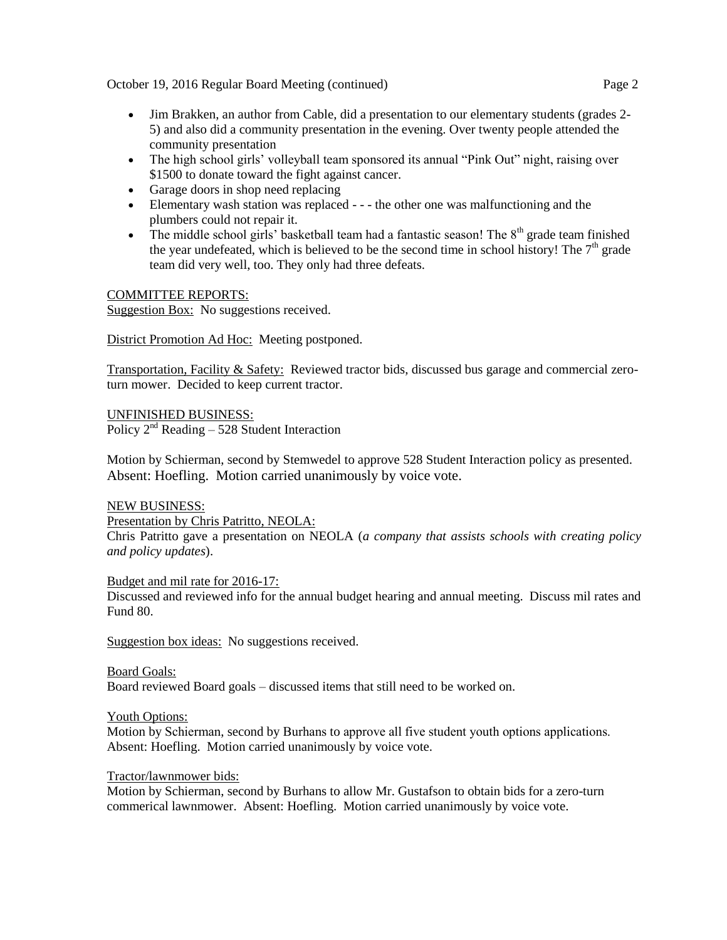October 19, 2016 Regular Board Meeting (continued) Page 2

- Jim Brakken, an author from Cable, did a presentation to our elementary students (grades 2- 5) and also did a community presentation in the evening. Over twenty people attended the community presentation
- The high school girls' volleyball team sponsored its annual "Pink Out" night, raising over \$1500 to donate toward the fight against cancer.
- Garage doors in shop need replacing
- Elementary wash station was replaced - the other one was malfunctioning and the plumbers could not repair it.
- The middle school girls' basketball team had a fantastic season! The  $8<sup>th</sup>$  grade team finished the year undefeated, which is believed to be the second time in school history! The  $7<sup>th</sup>$  grade team did very well, too. They only had three defeats.

# COMMITTEE REPORTS:

Suggestion Box: No suggestions received.

District Promotion Ad Hoc: Meeting postponed.

Transportation, Facility & Safety: Reviewed tractor bids, discussed bus garage and commercial zeroturn mower. Decided to keep current tractor.

UNFINISHED BUSINESS:

Policy  $2<sup>nd</sup>$  Reading – 528 Student Interaction

Motion by Schierman, second by Stemwedel to approve 528 Student Interaction policy as presented. Absent: Hoefling. Motion carried unanimously by voice vote.

## NEW BUSINESS:

Presentation by Chris Patritto, NEOLA:

Chris Patritto gave a presentation on NEOLA (*a company that assists schools with creating policy and policy updates*).

## Budget and mil rate for 2016-17:

Discussed and reviewed info for the annual budget hearing and annual meeting. Discuss mil rates and Fund 80.

Suggestion box ideas: No suggestions received.

Board Goals:

Board reviewed Board goals – discussed items that still need to be worked on.

## Youth Options:

Motion by Schierman, second by Burhans to approve all five student youth options applications. Absent: Hoefling. Motion carried unanimously by voice vote.

## Tractor/lawnmower bids:

Motion by Schierman, second by Burhans to allow Mr. Gustafson to obtain bids for a zero-turn commerical lawnmower. Absent: Hoefling. Motion carried unanimously by voice vote.